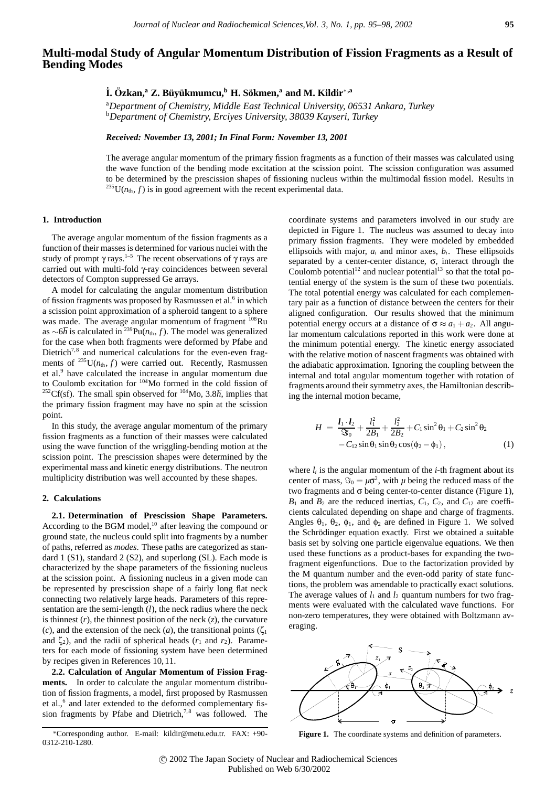# **Multi-modal Study of Angular Momentum Distribution of Fission Fragments as a Result of Bending Modes**

## **˙ I. Ozkan, ¨ <sup>a</sup> Z. B¨uy¨ukmumcu,b H. Sokmen, ¨ <sup>a</sup> and M. Kildir**∗**,a**

a *Department of Chemistry, Middle East Technical University, 06531 Ankara, Turkey* <sup>b</sup>*Department of Chemistry, Erciyes University, 38039 Kayseri, Turkey*

*Received: November 13, 2001; In Final Form: November 13, 2001*

The average angular momentum of the primary fission fragments as a function of their masses was calculated using the wave function of the bending mode excitation at the scission point. The scission configuration was assumed to be determined by the prescission shapes of fissioning nucleus within the multimodal fission model. Results in <sup>235</sup>U( $n_{th}$ ,  $f$ ) is in good agreement with the recent experimental data.

## **1. Introduction**

The average angular momentum of the fission fragments as a function of their masses is determined for various nuclei with the study of prompt  $\gamma$  rays.<sup>1–5</sup> The recent observations of  $\gamma$  rays are carried out with multi-fold γ-ray coincidences between several detectors of Compton suppressed Ge arrays.

A model for calculating the angular momentum distribution of fission fragments was proposed by Rasmussen et al.<sup>6</sup> in which a scission point approximation of a spheroid tangent to a sphere was made. The average angular momentum of fragment <sup>108</sup>Ru as ∼6 $\hbar$  is calculated in <sup>239</sup>Pu( $n_{th}$ , f). The model was generalized for the case when both fragments were deformed by Pfabe and Dietrich<sup>7,8</sup> and numerical calculations for the even-even fragments of  $^{235}U(n_{th}, f)$  were carried out. Recently, Rasmussen et al.<sup>9</sup> have calculated the increase in angular momentum due to Coulomb excitation for 104Mo formed in the cold fission of <sup>252</sup>Cf(sf). The small spin observed for  $^{104}$ Mo, 3.8 $\hbar$ , implies that the primary fission fragment may have no spin at the scission point.

In this study, the average angular momentum of the primary fission fragments as a function of their masses were calculated using the wave function of the wriggling-bending motion at the scission point. The prescission shapes were determined by the experimental mass and kinetic energy distributions. The neutron multiplicity distribution was well accounted by these shapes.

### **2. Calculations**

**2.1. Determination of Prescission Shape Parameters.** According to the BGM model, $^{10}$  after leaving the compound or ground state, the nucleus could split into fragments by a number of paths, referred as *modes*. These paths are categorized as standard 1 (S1), standard 2 (S2), and superlong (SL). Each mode is characterized by the shape parameters of the fissioning nucleus at the scission point. A fissioning nucleus in a given mode can be represented by prescission shape of a fairly long flat neck connecting two relatively large heads. Parameters of this representation are the semi-length (*l*), the neck radius where the neck is thinnest  $(r)$ , the thinnest position of the neck  $(z)$ , the curvature (*c*), and the extension of the neck (*a*), the transitional points ( $\zeta_1$ ) and  $\zeta_2$ ), and the radii of spherical heads ( $r_1$  and  $r_2$ ). Parameters for each mode of fissioning system have been determined by recipes given in References 10,11.

**2.2. Calculation of Angular Momentum of Fission Fragments.** In order to calculate the angular momentum distribution of fission fragments, a model, first proposed by Rasmussen et al.,<sup>6</sup> and later extended to the deformed complementary fission fragments by Pfabe and Dietrich,<sup>7,8</sup> was followed. The coordinate systems and parameters involved in our study are depicted in Figure 1. The nucleus was assumed to decay into primary fission fragments. They were modeled by embedded ellipsoids with major,  $a_i$  and minor axes,  $b_i$ . These ellipsoids separated by a center-center distance,  $\sigma$ , interact through the Coulomb potential<sup>12</sup> and nuclear potential<sup>13</sup> so that the total potential energy of the system is the sum of these two potentials. The total potential energy was calculated for each complementary pair as a function of distance between the centers for their aligned configuration. Our results showed that the minimum potential energy occurs at a distance of  $\sigma \approx a_1 + a_2$ . All angular momentum calculations reported in this work were done at the minimum potential energy. The kinetic energy associated with the relative motion of nascent fragments was obtained with the adiabatic approximation. Ignoring the coupling between the internal and total angular momentum together with rotation of fragments around their symmetry axes, the Hamiltonian describing the internal motion became,

$$
H = \frac{l_1 \cdot l_2}{\Im \delta_0} + \frac{l_1^2}{2B_1} + \frac{l_2^2}{2B_2} + C_1 \sin^2 \theta_1 + C_2 \sin^2 \theta_2 - C_{12} \sin \theta_1 \sin \theta_2 \cos(\phi_2 - \phi_1),
$$
 (1)

where  $l_i$  is the angular momentum of the  $i$ -th fragment about its center of mass,  $\Im_0 = \mu \sigma^2$ , with  $\mu$  being the reduced mass of the two fragments and  $\sigma$  being center-to-center distance (Figure 1),  $B_1$  and  $B_2$  are the reduced inertias,  $C_1$ ,  $C_2$ , and  $C_{12}$  are coefficients calculated depending on shape and charge of fragments. Angles  $\theta_1$ ,  $\theta_2$ ,  $\phi_1$ , and  $\phi_2$  are defined in Figure 1. We solved the Schrödinger equation exactly. First we obtained a suitable basis set by solving one particle eigenvalue equations. We then used these functions as a product-bases for expanding the twofragment eigenfunctions. Due to the factorization provided by the M quantum number and the even-odd parity of state functions, the problem was amendable to practically exact solutions. The average values of  $l_1$  and  $l_2$  quantum numbers for two fragments were evaluated with the calculated wave functions. For non-zero temperatures, they were obtained with Boltzmann averaging.



**Figure 1.** The coordinate systems and definition of parameters.

<sup>∗</sup>Corresponding author. E-mail: kildir@metu.edu.tr. FAX: +90- 0312-210-1280.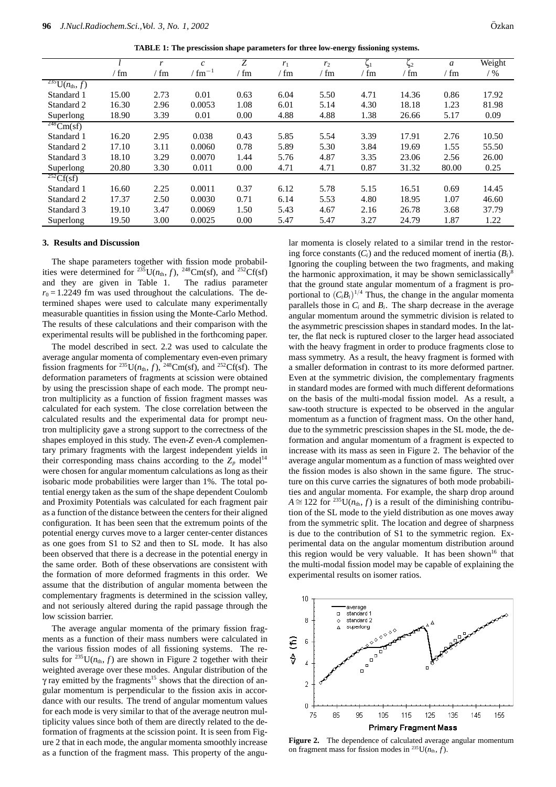**TABLE 1: The prescission shape parameters for three low-energy fissioning systems.**

|                                  |       | r    | $\mathcal{C}_{0}$     | Ζ             | r <sub>1</sub> | r <sub>2</sub> | v<br>$\zeta_1$ | v<br>$\zeta_2$ | a     | Weight |
|----------------------------------|-------|------|-----------------------|---------------|----------------|----------------|----------------|----------------|-------|--------|
|                                  | ' fm  | ' fm | $\rm \ell \, fm^{-1}$ | $\frac{m}{m}$ | ' fm           | ' fm           | $\frac{m}{m}$  | / fm           | ∕ fm  | $/$ %  |
| $\sqrt[235]{U(n_{\text{th}},f)}$ |       |      |                       |               |                |                |                |                |       |        |
| Standard 1                       | 15.00 | 2.73 | 0.01                  | 0.63          | 6.04           | 5.50           | 4.71           | 14.36          | 0.86  | 17.92  |
| Standard 2                       | 16.30 | 2.96 | 0.0053                | 1.08          | 6.01           | 5.14           | 4.30           | 18.18          | 1.23  | 81.98  |
| Superlong                        | 18.90 | 3.39 | 0.01                  | 0.00          | 4.88           | 4.88           | 1.38           | 26.66          | 5.17  | 0.09   |
| $\frac{248}{\text{Cm(sf)}}$      |       |      |                       |               |                |                |                |                |       |        |
| Standard 1                       | 16.20 | 2.95 | 0.038                 | 0.43          | 5.85           | 5.54           | 3.39           | 17.91          | 2.76  | 10.50  |
| Standard 2                       | 17.10 | 3.11 | 0.0060                | 0.78          | 5.89           | 5.30           | 3.84           | 19.69          | 1.55  | 55.50  |
| Standard 3                       | 18.10 | 3.29 | 0.0070                | 1.44          | 5.76           | 4.87           | 3.35           | 23.06          | 2.56  | 26.00  |
| Superlong                        | 20.80 | 3.30 | 0.011                 | 0.00          | 4.71           | 4.71           | 0.87           | 31.32          | 80.00 | 0.25   |
| $^{252}Cf(sf)$                   |       |      |                       |               |                |                |                |                |       |        |
| Standard 1                       | 16.60 | 2.25 | 0.0011                | 0.37          | 6.12           | 5.78           | 5.15           | 16.51          | 0.69  | 14.45  |
| Standard 2                       | 17.37 | 2.50 | 0.0030                | 0.71          | 6.14           | 5.53           | 4.80           | 18.95          | 1.07  | 46.60  |
| Standard 3                       | 19.10 | 3.47 | 0.0069                | 1.50          | 5.43           | 4.67           | 2.16           | 26.78          | 3.68  | 37.79  |
| Superlong                        | 19.50 | 3.00 | 0.0025                | 0.00          | 5.47           | 5.47           | 3.27           | 24.79          | 1.87  | 1.22   |

#### **3. Results and Discussion**

The shape parameters together with fission mode probabilities were determined for <sup>235</sup>U( $n_{th}$ , f), <sup>248</sup>Cm(sf), and <sup>252</sup>Cf(sf) and they are given in Table 1. The radius parameter  $r_0 = 1.2249$  fm was used throughout the calculations. The determined shapes were used to calculate many experimentally measurable quantities in fission using the Monte-Carlo Method. The results of these calculations and their comparison with the experimental results will be published in the forthcoming paper.

The model described in sect. 2.2 was used to calculate the average angular momenta of complementary even-even primary fission fragments for <sup>235</sup>U( $n_{th}$ ,  $f$ ), <sup>248</sup>Cm(sf), and <sup>252</sup>Cf(sf). The deformation parameters of fragments at scission were obtained by using the prescission shape of each mode. The prompt neutron multiplicity as a function of fission fragment masses was calculated for each system. The close correlation between the calculated results and the experimental data for prompt neutron multiplicity gave a strong support to the correctness of the shapes employed in this study. The even-*Z* even-*A* complementary primary fragments with the largest independent yields in their corresponding mass chains according to the  $Z_p$  model<sup>14</sup> were chosen for angular momentum calculations as long as their isobaric mode probabilities were larger than 1%. The total potential energy taken as the sum of the shape dependent Coulomb and Proximity Potentials was calculated for each fragment pair as a function of the distance between the centers for their aligned configuration. It has been seen that the extremum points of the potential energy curves move to a larger center-center distances as one goes from S1 to S2 and then to SL mode. It has also been observed that there is a decrease in the potential energy in the same order. Both of these observations are consistent with the formation of more deformed fragments in this order. We assume that the distribution of angular momenta between the complementary fragments is determined in the scission valley, and not seriously altered during the rapid passage through the low scission barrier.

The average angular momenta of the primary fission fragments as a function of their mass numbers were calculated in the various fission modes of all fissioning systems. The results for  $^{235}U(n_{th}, f)$  are shown in Figure 2 together with their weighted average over these modes. Angular distribution of the γ ray emitted by the fragments<sup>15</sup> shows that the direction of angular momentum is perpendicular to the fission axis in accordance with our results. The trend of angular momentum values for each mode is very similar to that of the average neutron multiplicity values since both of them are directly related to the deformation of fragments at the scission point. It is seen from Figure 2 that in each mode, the angular momenta smoothly increase as a function of the fragment mass. This property of the angu-

lar momenta is closely related to a similar trend in the restoring force constants  $(C_i)$  and the reduced moment of inertia  $(B_i)$ . Ignoring the coupling between the two fragments, and making the harmonic approximation, it may be shown semiclassically that the ground state angular momentum of a fragment is proportional to  $(C_i B_i)^{1/4}$  Thus, the change in the angular momenta parallels those in *Ci* and *Bi*. The sharp decrease in the average angular momentum around the symmetric division is related to the asymmetric prescission shapes in standard modes. In the latter, the flat neck is ruptured closer to the larger head associated with the heavy fragment in order to produce fragments close to mass symmetry. As a result, the heavy fragment is formed with a smaller deformation in contrast to its more deformed partner. Even at the symmetric division, the complementary fragments in standard modes are formed with much different deformations on the basis of the multi-modal fission model. As a result, a saw-tooth structure is expected to be observed in the angular momentum as a function of fragment mass. On the other hand, due to the symmetric prescission shapes in the SL mode, the deformation and angular momentum of a fragment is expected to increase with its mass as seen in Figure 2. The behavior of the average angular momentum as a function of mass weighted over the fission modes is also shown in the same figure. The structure on this curve carries the signatures of both mode probabilities and angular momenta. For example, the sharp drop around  $A \cong 122$  for <sup>235</sup>U( $n_{\text{th}}$ , *f*) is a result of the diminishing contribution of the SL mode to the yield distribution as one moves away from the symmetric split. The location and degree of sharpness is due to the contribution of S1 to the symmetric region. Experimental data on the angular momentum distribution around this region would be very valuable. It has been shown<sup>16</sup> that the multi-modal fission model may be capable of explaining the experimental results on isomer ratios.



**Figure 2.** The dependence of calculated average angular momentum on fragment mass for fission modes in <sup>235</sup>U( $n_{\text{th}}$ , *f*).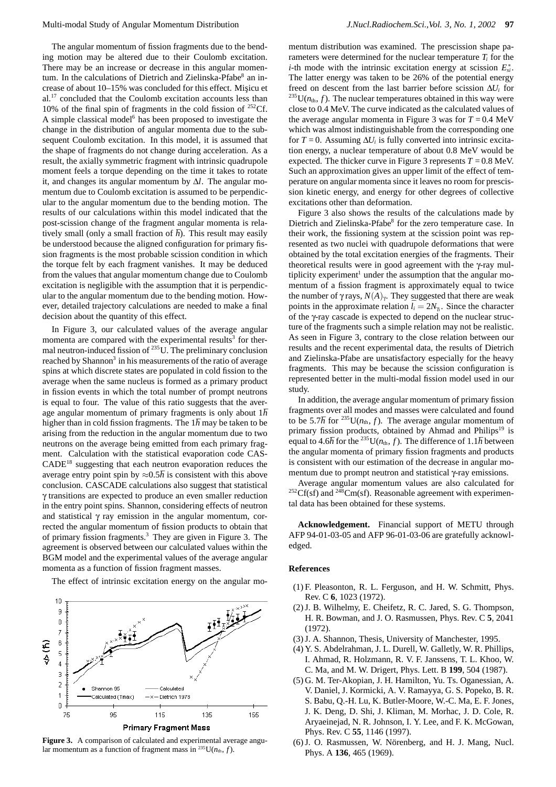The angular momentum of fission fragments due to the bending motion may be altered due to their Coulomb excitation. There may be an increase or decrease in this angular momentum. In the calculations of Dietrich and Zielinska-Pfabe<sup>8</sup> an increase of about 10–15% was concluded for this effect. Misicu et al.<sup>17</sup> concluded that the Coulomb excitation accounts less than 10% of the final spin of fragments in the cold fission of  $252$ Cf. A simple classical model<sup>6</sup> has been proposed to investigate the change in the distribution of angular momenta due to the subsequent Coulomb excitation. In this model, it is assumed that the shape of fragments do not change during acceleration. As a result, the axially symmetric fragment with intrinsic quadrupole moment feels a torque depending on the time it takes to rotate it, and changes its angular momentum by ∆*l*. The angular momentum due to Coulomb excitation is assumed to be perpendicular to the angular momentum due to the bending motion. The results of our calculations within this model indicated that the post-scission change of the fragment angular momenta is relatively small (only a small fraction of  $\hbar$ ). This result may easily be understood because the aligned configuration for primary fission fragments is the most probable scission condition in which the torque felt by each fragment vanishes. It may be deduced from the values that angular momentum change due to Coulomb excitation is negligible with the assumption that it is perpendicular to the angular momentum due to the bending motion. However, detailed trajectory calculations are needed to make a final decision about the quantity of this effect.

In Figure 3, our calculated values of the average angular momenta are compared with the experimental results<sup>3</sup> for thermal neutron-induced fission of  $^{235}$ U. The preliminary conclusion reached by Shannon<sup>3</sup> in his measurements of the ratio of average spins at which discrete states are populated in cold fission to the average when the same nucleus is formed as a primary product in fission events in which the total number of prompt neutrons is equal to four. The value of this ratio suggests that the average angular momentum of primary fragments is only about 1 $\hbar$ higher than in cold fission fragments. The  $1<sup>†</sup>$  may be taken to be arising from the reduction in the angular momentum due to two neutrons on the average being emitted from each primary fragment. Calculation with the statistical evaporation code CAS-CADE<sup>18</sup> suggesting that each neutron evaporation reduces the average entry point spin by  $\approx 0.5\hbar$  is consistent with this above conclusion. CASCADE calculations also suggest that statistical γ transitions are expected to produce an even smaller reduction in the entry point spins. Shannon, considering effects of neutron and statistical  $\gamma$  ray emission in the angular momentum, corrected the angular momentum of fission products to obtain that of primary fission fragments.3 They are given in Figure 3. The agreement is observed between our calculated values within the BGM model and the experimental values of the average angular momenta as a function of fission fragment masses.

The effect of intrinsic excitation energy on the angular mo-



**Figure 3.** A comparison of calculated and experimental average angular momentum as a function of fragment mass in <sup>235</sup>U( $n_{th}$ , *f*).

mentum distribution was examined. The prescission shape parameters were determined for the nuclear temperature  $T_i$  for the *i*-th mode with the intrinsic excitation energy at scission  $E_{si}^*$ . The latter energy was taken to be 26% of the potential energy freed on descent from the last barrier before scission ∆*Ui* for  $^{235}$ U( $n_{th}$ ,  $f$ ). The nuclear temperatures obtained in this way were close to 0.4 MeV. The curve indicated as the calculated values of the average angular momenta in Figure 3 was for  $T = 0.4$  MeV which was almost indistinguishable from the corresponding one for  $T = 0$ . Assuming  $\Delta U_i$  is fully converted into intrinsic excitation energy, a nuclear temperature of about 0.8 MeV would be expected. The thicker curve in Figure 3 represents  $T = 0.8$  MeV. Such an approximation gives an upper limit of the effect of temperature on angular momenta since it leaves no room for prescission kinetic energy, and energy for other degrees of collective excitations other than deformation.

Figure 3 also shows the results of the calculations made by Dietrich and Zielinska-Pfabe<sup>8</sup> for the zero temperature case. In their work, the fissioning system at the scission point was represented as two nuclei with quadrupole deformations that were obtained by the total excitation energies of the fragments. Their theoretical results were in good agreement with the γ-ray multiplicity experiment<sup>1</sup> under the assumption that the angular momentum of a fission fragment is approximately equal to twice the number of  $\gamma$  rays,  $N(A)_{\gamma}$ . They suggested that there are weak points in the approximate relation  $\bar{l}_i = 2N_\gamma$ . Since the character of the γ-ray cascade is expected to depend on the nuclear structure of the fragments such a simple relation may not be realistic. As seen in Figure 3, contrary to the close relation between our results and the recent experimental data, the results of Dietrich and Zielinska-Pfabe are unsatisfactory especially for the heavy fragments. This may be because the scission configuration is represented better in the multi-modal fission model used in our study.

In addition, the average angular momentum of primary fission fragments over all modes and masses were calculated and found to be 5.7h for <sup>235</sup>U( $n_{\text{th}}$ , *f*). The average angular momentum of primary fission products, obtained by Ahmad and Philips<sup>19</sup> is equal to 4.6 $\hbar$  for the <sup>235</sup>U( $n_{\text{th}}$ , *f*). The difference of 1.1 $\hbar$  between the angular momenta of primary fission fragments and products is consistent with our estimation of the decrease in angular momentum due to prompt neutron and statistical γ-ray emissions.

Average angular momentum values are also calculated for  ${}^{252}Cf(sf)$  and  ${}^{248}Cm(sf)$ . Reasonable agreement with experimental data has been obtained for these systems.

**Acknowledgement.** Financial support of METU through AFP 94-01-03-05 and AFP 96-01-03-06 are gratefully acknowledged.

### **References**

- (1) F. Pleasonton, R. L. Ferguson, and H. W. Schmitt, Phys. Rev. C **6**, 1023 (1972).
- (2) J. B. Wilhelmy, E. Cheifetz, R. C. Jared, S. G. Thompson, H. R. Bowman, and J. O. Rasmussen, Phys. Rev. C **5**, 2041 (1972).
- (3) J. A. Shannon, Thesis, University of Manchester, 1995.
- (4) Y. S. Abdelrahman, J. L. Durell, W. Galletly, W. R. Phillips, I. Ahmad, R. Holzmann, R. V. F. Janssens, T. L. Khoo, W. C. Ma, and M. W. Drigert, Phys. Lett. B **199**, 504 (1987).
- (5) G. M. Ter-Akopian, J. H. Hamilton, Yu. Ts. Oganessian, A. V. Daniel, J. Kormicki, A. V. Ramayya, G. S. Popeko, B. R. S. Babu, Q.-H. Lu, K. Butler-Moore, W.-C. Ma, E. F. Jones, J. K. Deng, D. Shi, J. Kliman, M. Morhac, J. D. Cole, R. Aryaeinejad, N. R. Johnson, I. Y. Lee, and F. K. McGowan, Phys. Rev. C **55**, 1146 (1997).
- (6) J. O. Rasmussen, W. Nörenberg, and H. J. Mang, Nucl. Phys. A **136**, 465 (1969).